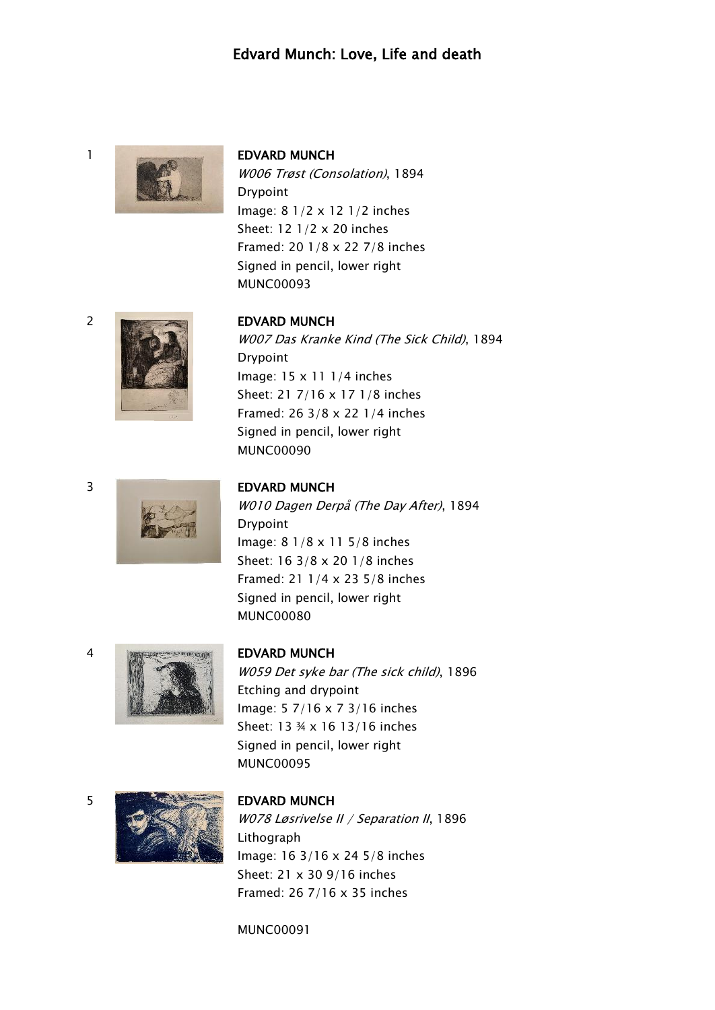## Edvard Munch: Love, Life and death



W006 Trøst (Consolation), 1894 Drypoint Image: 8 1/2 x 12 1/2 inches Sheet: 12 1/2 x 20 inches Framed: 20 1/8 x 22 7/8 inches Signed in pencil, lower right MUNC00093



W007 Das Kranke Kind (The Sick Child), 1894 Drypoint Image: 15 x 11 1/4 inches Sheet: 21 7/16 x 17 1/8 inches Framed: 26 3/8 x 22 1/4 inches Signed in pencil, lower right MUNC00090

### 3 EDVARD MUNCH

W010 Dagen Derpå (The Day After), 1894 Drypoint Image: 8 1/8 x 11 5/8 inches Sheet: 16 3/8 x 20 1/8 inches Framed: 21 1/4 x 23 5/8 inches Signed in pencil, lower right MUNC00080



W059 Det syke bar (The sick child), 1896 Etching and drypoint Image: 5 7/16 x 7 3/16 inches Sheet: 13 ¾ x 16 13/16 inches Signed in pencil, lower right MUNC00095



W078 Løsrivelse II / Separation II, 1896 Lithograph Image: 16 3/16 x 24 5/8 inches Sheet: 21 x 30 9/16 inches Framed: 26 7/16 x 35 inches

MUNC00091